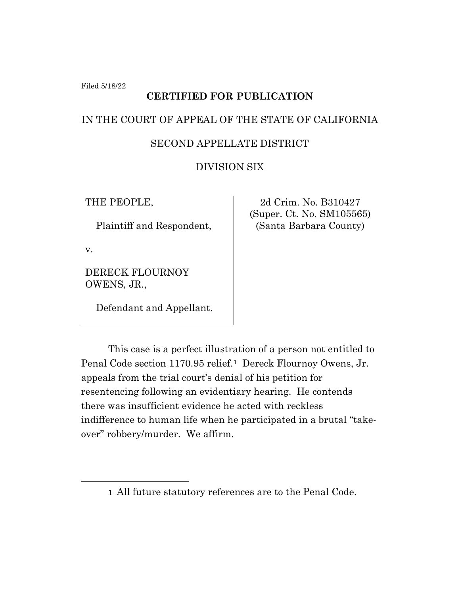Filed 5/18/22

# **CERTIFIED FOR PUBLICATION**

## IN THE COURT OF APPEAL OF THE STATE OF CALIFORNIA

## SECOND APPELLATE DISTRICT

## DIVISION SIX

THE PEOPLE,

Plaintiff and Respondent,

v.

DERECK FLOURNOY OWENS, JR.,

Defendant and Appellant.

2d Crim. No. B310427 (Super. Ct. No. SM105565) (Santa Barbara County)

This case is a perfect illustration of a person not entitled to Penal Code section 1170.95 relief.**1** Dereck Flournoy Owens, Jr. appeals from the trial court's denial of his petition for resentencing following an evidentiary hearing. He contends there was insufficient evidence he acted with reckless indifference to human life when he participated in a brutal "takeover" robbery/murder. We affirm.

**<sup>1</sup>** All future statutory references are to the Penal Code.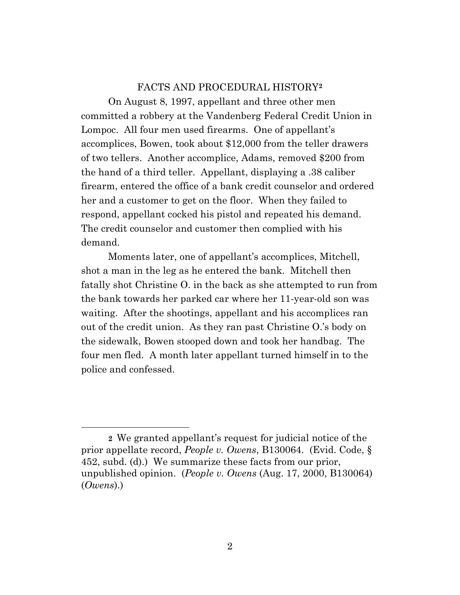### FACTS AND PROCEDURAL HISTORY**<sup>2</sup>**

On August 8, 1997, appellant and three other men committed a robbery at the Vandenberg Federal Credit Union in Lompoc. All four men used firearms. One of appellant's accomplices, Bowen, took about \$12,000 from the teller drawers of two tellers. Another accomplice, Adams, removed \$200 from the hand of a third teller. Appellant, displaying a .38 caliber firearm, entered the office of a bank credit counselor and ordered her and a customer to get on the floor. When they failed to respond, appellant cocked his pistol and repeated his demand. The credit counselor and customer then complied with his demand.

Moments later, one of appellant's accomplices, Mitchell, shot a man in the leg as he entered the bank. Mitchell then fatally shot Christine O. in the back as she attempted to run from the bank towards her parked car where her 11-year-old son was waiting. After the shootings, appellant and his accomplices ran out of the credit union. As they ran past Christine O.'s body on the sidewalk, Bowen stooped down and took her handbag. The four men fled. A month later appellant turned himself in to the police and confessed.

**<sup>2</sup>** We granted appellant's request for judicial notice of the prior appellate record, *People v. Owens*, B130064. (Evid. Code, § 452, subd. (d).) We summarize these facts from our prior, unpublished opinion. (*People v. Owens* (Aug. 17, 2000, B130064) (*Owens*).)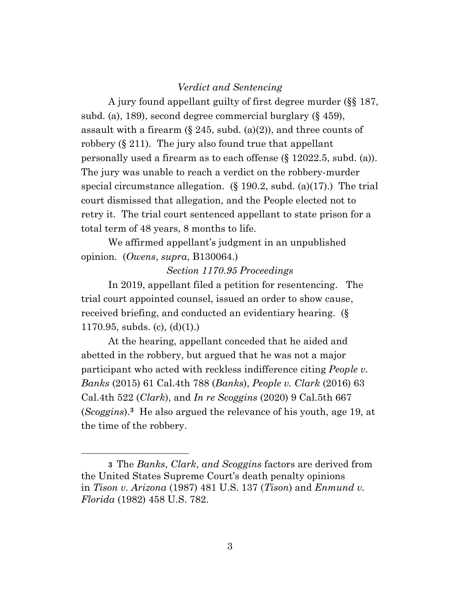#### *Verdict and Sentencing*

A jury found appellant guilty of first degree murder (§§ 187, subd. (a), 189), second degree commercial burglary (§ 459), assault with a firearm  $(\S 245, \text{subd.} (a)(2))$ , and three counts of robbery (§ 211). The jury also found true that appellant personally used a firearm as to each offense (§ 12022.5, subd. (a)). The jury was unable to reach a verdict on the robbery-murder special circumstance allegation.  $(\S 190.2, \text{subd.} (a)(17))$  The trial court dismissed that allegation, and the People elected not to retry it. The trial court sentenced appellant to state prison for a total term of 48 years, 8 months to life.

We affirmed appellant's judgment in an unpublished opinion. (*Owens*, *supra*, B130064.)

#### *Section 1170.95 Proceedings*

In 2019, appellant filed a petition for resentencing. The trial court appointed counsel, issued an order to show cause, received briefing, and conducted an evidentiary hearing. (§ 1170.95, subds. (c),  $(d)(1)$ .)

At the hearing, appellant conceded that he aided and abetted in the robbery, but argued that he was not a major participant who acted with reckless indifference citing *People v. Banks* (2015) 61 Cal.4th 788 (*Banks*), *People v. Clark* (2016) 63 Cal.4th 522 (*Clark*), and *In re Scoggins* (2020) 9 Cal.5th 667 (*Scoggins*).**<sup>3</sup>** He also argued the relevance of his youth, age 19, at the time of the robbery.

**<sup>3</sup>** The *Banks*, *Clark*, *and Scoggins* factors are derived from the United States Supreme Court's death penalty opinions in *Tison v. Arizona* (1987) 481 U.S. 137 (*Tison*) and *Enmund v. Florida* (1982) 458 U.S. 782.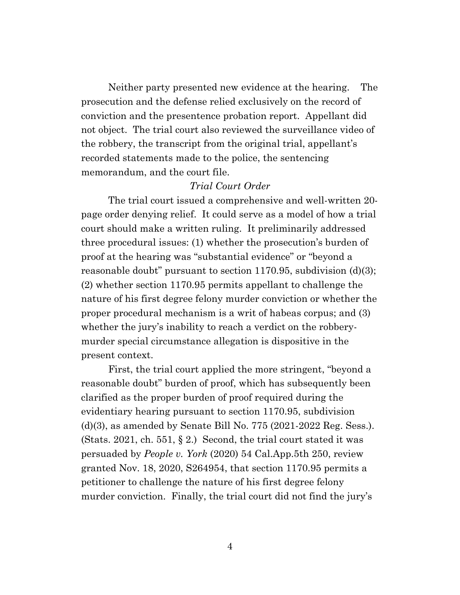Neither party presented new evidence at the hearing. The prosecution and the defense relied exclusively on the record of conviction and the presentence probation report. Appellant did not object. The trial court also reviewed the surveillance video of the robbery, the transcript from the original trial, appellant's recorded statements made to the police, the sentencing memorandum, and the court file.

## *Trial Court Order*

The trial court issued a comprehensive and well-written 20 page order denying relief. It could serve as a model of how a trial court should make a written ruling. It preliminarily addressed three procedural issues: (1) whether the prosecution's burden of proof at the hearing was "substantial evidence" or "beyond a reasonable doubt" pursuant to section 1170.95, subdivision (d)(3); (2) whether section 1170.95 permits appellant to challenge the nature of his first degree felony murder conviction or whether the proper procedural mechanism is a writ of habeas corpus; and (3) whether the jury's inability to reach a verdict on the robberymurder special circumstance allegation is dispositive in the present context.

First, the trial court applied the more stringent, "beyond a reasonable doubt" burden of proof, which has subsequently been clarified as the proper burden of proof required during the evidentiary hearing pursuant to section 1170.95, subdivision (d)(3), as amended by Senate Bill No. 775 (2021-2022 Reg. Sess.). (Stats. 2021, ch. 551,  $\S 2$ .) Second, the trial court stated it was persuaded by *People v. York* (2020) 54 Cal.App.5th 250, review granted Nov. 18, 2020, S264954, that section 1170.95 permits a petitioner to challenge the nature of his first degree felony murder conviction. Finally, the trial court did not find the jury's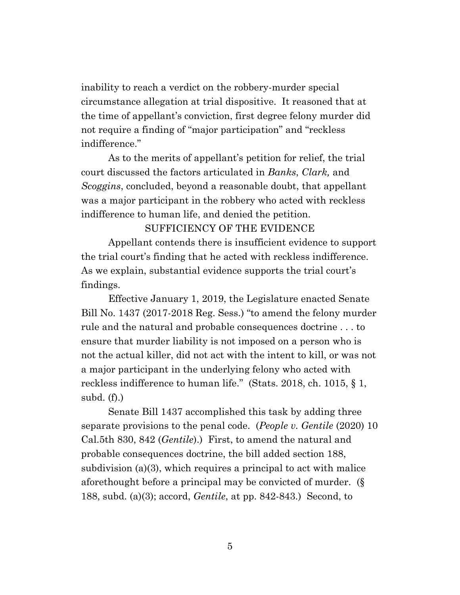inability to reach a verdict on the robbery-murder special circumstance allegation at trial dispositive. It reasoned that at the time of appellant's conviction, first degree felony murder did not require a finding of "major participation" and "reckless indifference."

As to the merits of appellant's petition for relief, the trial court discussed the factors articulated in *Banks*, *Clark,* and *Scoggins*, concluded, beyond a reasonable doubt, that appellant was a major participant in the robbery who acted with reckless indifference to human life, and denied the petition.

### SUFFICIENCY OF THE EVIDENCE

Appellant contends there is insufficient evidence to support the trial court's finding that he acted with reckless indifference. As we explain, substantial evidence supports the trial court's findings.

Effective January 1, 2019, the Legislature enacted Senate Bill No. 1437 (2017-2018 Reg. Sess.) "to amend the felony murder rule and the natural and probable consequences doctrine . . . to ensure that murder liability is not imposed on a person who is not the actual killer, did not act with the intent to kill, or was not a major participant in the underlying felony who acted with reckless indifference to human life." (Stats. 2018, ch. 1015, § 1, subd.  $(f)$ .)

Senate Bill 1437 accomplished this task by adding three separate provisions to the penal code. (*People v. Gentile* (2020) 10 Cal.5th 830, 842 (*Gentile*).) First, to amend the natural and probable consequences doctrine, the bill added section 188, subdivision (a)(3), which requires a principal to act with malice aforethought before a principal may be convicted of murder. (§ 188, subd. (a)(3); accord, *Gentile*, at pp. 842-843.) Second, to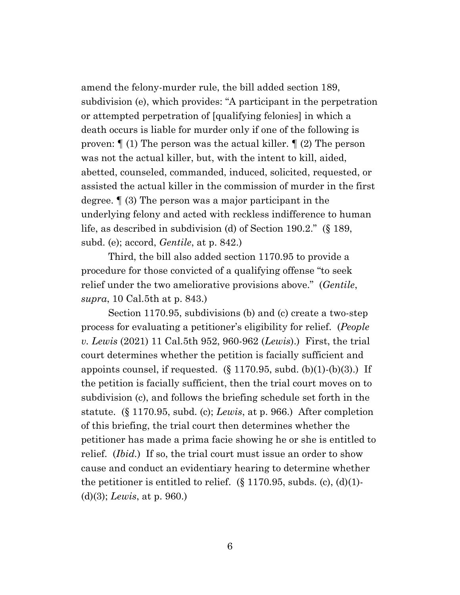amend the felony-murder rule, the bill added section 189, subdivision (e), which provides: "A participant in the perpetration or attempted perpetration of [qualifying felonies] in which a death occurs is liable for murder only if one of the following is proven: ¶ (1) The person was the actual killer. ¶ (2) The person was not the actual killer, but, with the intent to kill, aided, abetted, counseled, commanded, induced, solicited, requested, or assisted the actual killer in the commission of murder in the first degree. ¶ (3) The person was a major participant in the underlying felony and acted with reckless indifference to human life, as described in subdivision (d) of Section 190.2." (§ 189, subd. (e); accord, *Gentile*, at p. 842.)

Third, the bill also added section 1170.95 to provide a procedure for those convicted of a qualifying offense "to seek relief under the two ameliorative provisions above." (*Gentile*, *supra*, 10 Cal.5th at p. 843.)

Section 1170.95, subdivisions (b) and (c) create a two-step process for evaluating a petitioner's eligibility for relief. (*People v. Lewis* (2021) 11 Cal.5th 952, 960-962 (*Lewis*).) First, the trial court determines whether the petition is facially sufficient and appoints counsel, if requested.  $(\S 1170.95, \text{subd. (b)}(1)-(b)(3))$  If the petition is facially sufficient, then the trial court moves on to subdivision (c), and follows the briefing schedule set forth in the statute. (§ 1170.95, subd. (c); *Lewis*, at p. 966.) After completion of this briefing, the trial court then determines whether the petitioner has made a prima facie showing he or she is entitled to relief. (*Ibid.*) If so, the trial court must issue an order to show cause and conduct an evidentiary hearing to determine whether the petitioner is entitled to relief.  $(\S 1170.95, \text{subds. (c)}, (\text{d})(1)$ (d)(3); *Lewis*, at p. 960.)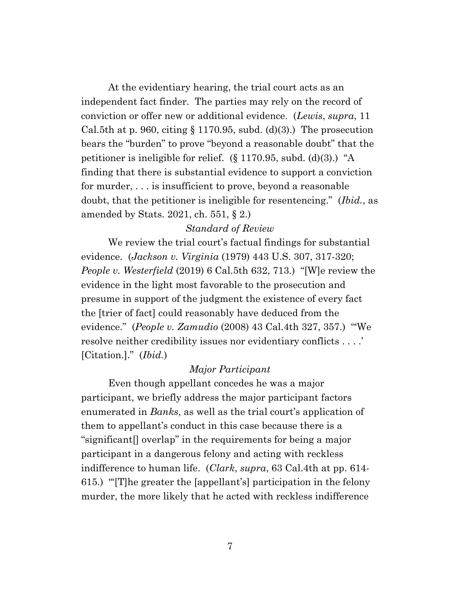At the evidentiary hearing, the trial court acts as an independent fact finder. The parties may rely on the record of conviction or offer new or additional evidence. (*Lewis*, *supra*, 11 Cal.5th at p. 960, citing  $\S 1170.95$ , subd. (d)(3).) The prosecution bears the "burden" to prove "beyond a reasonable doubt" that the petitioner is ineligible for relief. (§ 1170.95, subd. (d)(3).) "A finding that there is substantial evidence to support a conviction for murder, . . . is insufficient to prove, beyond a reasonable doubt, that the petitioner is ineligible for resentencing." (*Ibid.*, as amended by Stats. 2021, ch. 551, § 2.)

### *Standard of Review*

We review the trial court's factual findings for substantial evidence. (*Jackson v. Virginia* (1979) 443 U.S. 307, 317-320; *People v. Westerfield* (2019) 6 Cal.5th 632, 713.) "[W]e review the evidence in the light most favorable to the prosecution and presume in support of the judgment the existence of every fact the [trier of fact] could reasonably have deduced from the evidence." (*People v. Zamudio* (2008) 43 Cal.4th 327, 357.) "'We resolve neither credibility issues nor evidentiary conflicts . . . .' [Citation.]." (*Ibid.*)

## *Major Participant*

Even though appellant concedes he was a major participant, we briefly address the major participant factors enumerated in *Banks*, as well as the trial court's application of them to appellant's conduct in this case because there is a "significant[] overlap" in the requirements for being a major participant in a dangerous felony and acting with reckless indifference to human life. (*Clark*, *supra*, 63 Cal.4th at pp. 614- 615.) "'[T]he greater the [appellant's] participation in the felony murder, the more likely that he acted with reckless indifference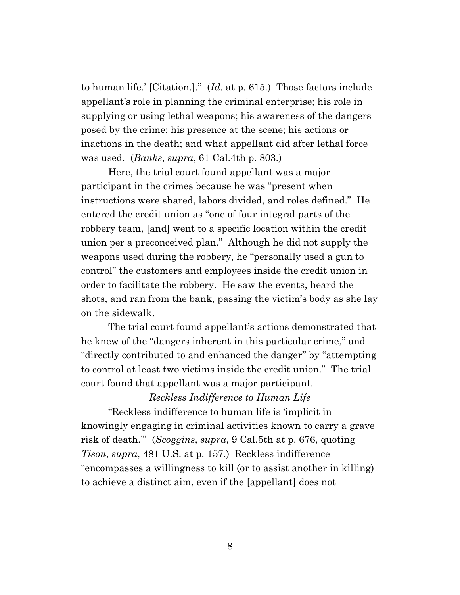to human life.' [Citation.]." (*Id.* at p. 615.) Those factors include appellant's role in planning the criminal enterprise; his role in supplying or using lethal weapons; his awareness of the dangers posed by the crime; his presence at the scene; his actions or inactions in the death; and what appellant did after lethal force was used. (*Banks*, *supra*, 61 Cal.4th p. 803.)

Here, the trial court found appellant was a major participant in the crimes because he was "present when instructions were shared, labors divided, and roles defined." He entered the credit union as "one of four integral parts of the robbery team, [and] went to a specific location within the credit union per a preconceived plan." Although he did not supply the weapons used during the robbery, he "personally used a gun to control" the customers and employees inside the credit union in order to facilitate the robbery. He saw the events, heard the shots, and ran from the bank, passing the victim's body as she lay on the sidewalk.

The trial court found appellant's actions demonstrated that he knew of the "dangers inherent in this particular crime," and "directly contributed to and enhanced the danger" by "attempting to control at least two victims inside the credit union." The trial court found that appellant was a major participant.

## *Reckless Indifference to Human Life*

"Reckless indifference to human life is 'implicit in knowingly engaging in criminal activities known to carry a grave risk of death.'" (*Scoggins*, *supra*, 9 Cal.5th at p. 676, quoting *Tison*, *supra*, 481 U.S. at p. 157.) Reckless indifference "encompasses a willingness to kill (or to assist another in killing) to achieve a distinct aim, even if the [appellant] does not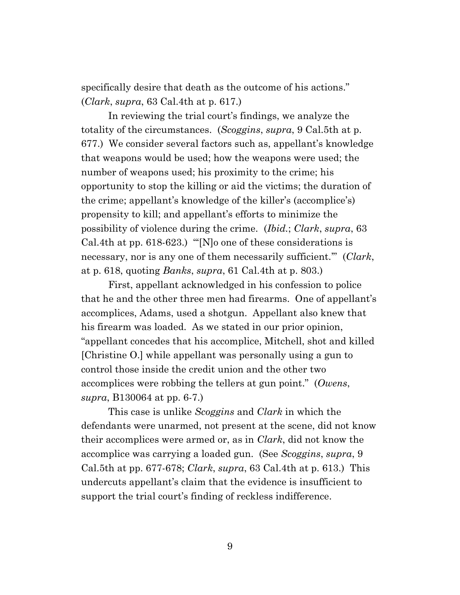specifically desire that death as the outcome of his actions." (*Clark*, *supra*, 63 Cal.4th at p. 617.)

In reviewing the trial court's findings, we analyze the totality of the circumstances. (*Scoggins*, *supra*, 9 Cal.5th at p. 677.) We consider several factors such as, appellant's knowledge that weapons would be used; how the weapons were used; the number of weapons used; his proximity to the crime; his opportunity to stop the killing or aid the victims; the duration of the crime; appellant's knowledge of the killer's (accomplice's) propensity to kill; and appellant's efforts to minimize the possibility of violence during the crime. (*Ibid.*; *Clark*, *supra*, 63 Cal.4th at pp. 618-623.) "'[N]o one of these considerations is necessary, nor is any one of them necessarily sufficient.'" (*Clark*, at p. 618, quoting *Banks*, *supra*, 61 Cal.4th at p. 803.)

First, appellant acknowledged in his confession to police that he and the other three men had firearms. One of appellant's accomplices, Adams, used a shotgun. Appellant also knew that his firearm was loaded. As we stated in our prior opinion, "appellant concedes that his accomplice, Mitchell, shot and killed [Christine O.] while appellant was personally using a gun to control those inside the credit union and the other two accomplices were robbing the tellers at gun point." (*Owens*, *supra*, B130064 at pp. 6-7.)

This case is unlike *Scoggins* and *Clark* in which the defendants were unarmed, not present at the scene, did not know their accomplices were armed or, as in *Clark*, did not know the accomplice was carrying a loaded gun. (See *Scoggins*, *supra*, 9 Cal.5th at pp. 677-678; *Clark*, *supra*, 63 Cal.4th at p. 613.) This undercuts appellant's claim that the evidence is insufficient to support the trial court's finding of reckless indifference.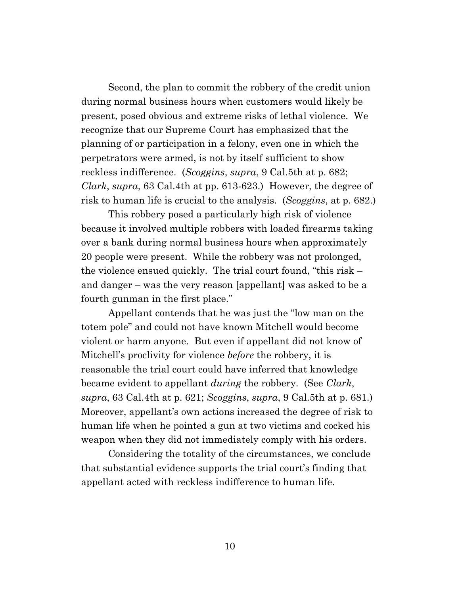Second, the plan to commit the robbery of the credit union during normal business hours when customers would likely be present, posed obvious and extreme risks of lethal violence. We recognize that our Supreme Court has emphasized that the planning of or participation in a felony, even one in which the perpetrators were armed, is not by itself sufficient to show reckless indifference. (*Scoggins*, *supra*, 9 Cal.5th at p. 682; *Clark*, *supra*, 63 Cal.4th at pp. 613-623.) However, the degree of risk to human life is crucial to the analysis. (*Scoggins*, at p. 682.)

This robbery posed a particularly high risk of violence because it involved multiple robbers with loaded firearms taking over a bank during normal business hours when approximately 20 people were present. While the robbery was not prolonged, the violence ensued quickly. The trial court found, "this risk – and danger – was the very reason [appellant] was asked to be a fourth gunman in the first place."

Appellant contends that he was just the "low man on the totem pole" and could not have known Mitchell would become violent or harm anyone. But even if appellant did not know of Mitchell's proclivity for violence *before* the robbery, it is reasonable the trial court could have inferred that knowledge became evident to appellant *during* the robbery. (See *Clark*, *supra*, 63 Cal.4th at p. 621; *Scoggins*, *supra*, 9 Cal.5th at p. 681.) Moreover, appellant's own actions increased the degree of risk to human life when he pointed a gun at two victims and cocked his weapon when they did not immediately comply with his orders.

Considering the totality of the circumstances, we conclude that substantial evidence supports the trial court's finding that appellant acted with reckless indifference to human life.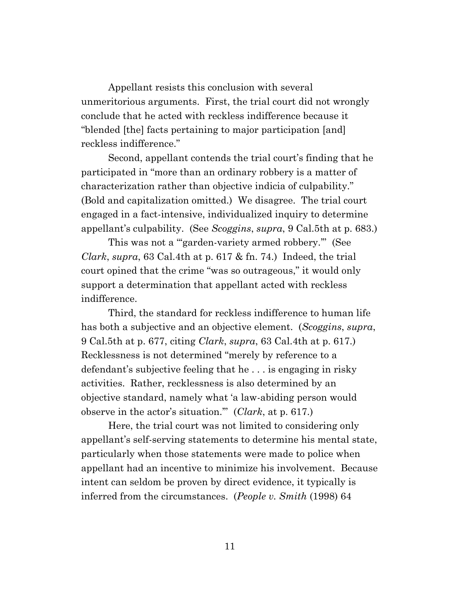Appellant resists this conclusion with several unmeritorious arguments. First, the trial court did not wrongly conclude that he acted with reckless indifference because it "blended [the] facts pertaining to major participation [and] reckless indifference."

Second, appellant contends the trial court's finding that he participated in "more than an ordinary robbery is a matter of characterization rather than objective indicia of culpability." (Bold and capitalization omitted.) We disagree. The trial court engaged in a fact-intensive, individualized inquiry to determine appellant's culpability. (See *Scoggins*, *supra*, 9 Cal.5th at p. 683.)

This was not a "garden-variety armed robbery." (See *Clark*, *supra*, 63 Cal.4th at p. 617 & fn. 74.) Indeed, the trial court opined that the crime "was so outrageous," it would only support a determination that appellant acted with reckless indifference.

Third, the standard for reckless indifference to human life has both a subjective and an objective element. (*Scoggins*, *supra*, 9 Cal.5th at p. 677, citing *Clark*, *supra*, 63 Cal.4th at p. 617.) Recklessness is not determined "merely by reference to a defendant's subjective feeling that he . . . is engaging in risky activities. Rather, recklessness is also determined by an objective standard, namely what 'a law-abiding person would observe in the actor's situation.'" (*Clark*, at p. 617.)

Here, the trial court was not limited to considering only appellant's self-serving statements to determine his mental state, particularly when those statements were made to police when appellant had an incentive to minimize his involvement. Because intent can seldom be proven by direct evidence, it typically is inferred from the circumstances. (*People v. Smith* (1998) 64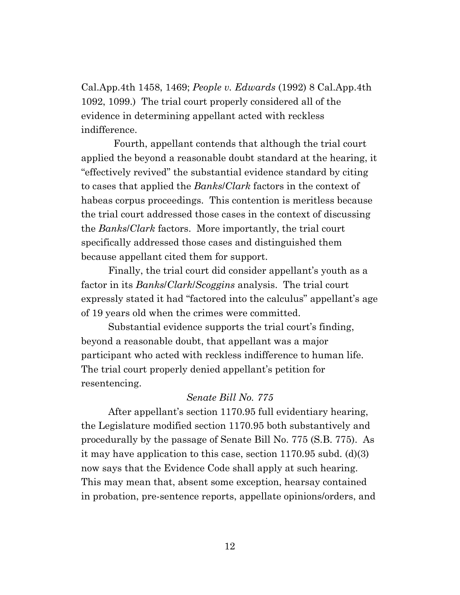Cal.App.4th 1458, 1469; *People v. Edwards* (1992) 8 Cal.App.4th 1092, 1099.) The trial court properly considered all of the evidence in determining appellant acted with reckless indifference.

Fourth, appellant contends that although the trial court applied the beyond a reasonable doubt standard at the hearing, it "effectively revived" the substantial evidence standard by citing to cases that applied the *Banks*/*Clark* factors in the context of habeas corpus proceedings. This contention is meritless because the trial court addressed those cases in the context of discussing the *Banks*/*Clark* factors. More importantly, the trial court specifically addressed those cases and distinguished them because appellant cited them for support.

Finally, the trial court did consider appellant's youth as a factor in its *Banks*/*Clark*/*Scoggins* analysis. The trial court expressly stated it had "factored into the calculus" appellant's age of 19 years old when the crimes were committed.

Substantial evidence supports the trial court's finding, beyond a reasonable doubt, that appellant was a major participant who acted with reckless indifference to human life. The trial court properly denied appellant's petition for resentencing.

### *Senate Bill No. 775*

After appellant's section 1170.95 full evidentiary hearing, the Legislature modified section 1170.95 both substantively and procedurally by the passage of Senate Bill No. 775 (S.B. 775). As it may have application to this case, section 1170.95 subd. (d)(3) now says that the Evidence Code shall apply at such hearing. This may mean that, absent some exception, hearsay contained in probation, pre-sentence reports, appellate opinions/orders, and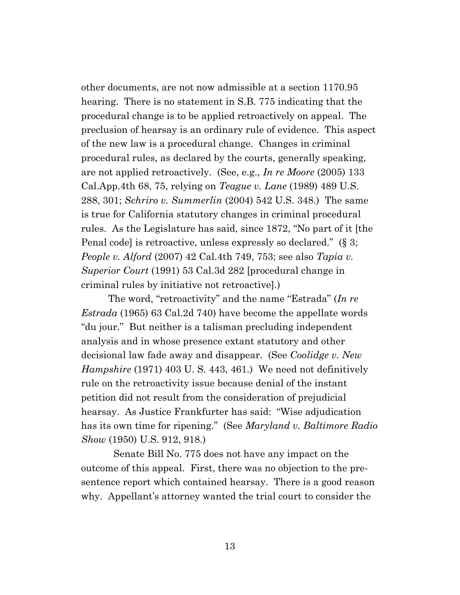other documents, are not now admissible at a section 1170.95 hearing. There is no statement in S.B. 775 indicating that the procedural change is to be applied retroactively on appeal. The preclusion of hearsay is an ordinary rule of evidence. This aspect of the new law is a procedural change. Changes in criminal procedural rules, as declared by the courts, generally speaking, are not applied retroactively. (See, e.g., *In re Moore* (2005) 133 Cal.App.4th 68, 75, relying on *Teague v. Lane* (1989) 489 U.S. 288, 301; *Schriro v. Summerlin* (2004) 542 U.S. 348.) The same is true for California statutory changes in criminal procedural rules. As the Legislature has said, since 1872, "No part of it [the Penal code] is retroactive, unless expressly so declared." (§ 3; *People v. Alford* (2007) 42 Cal.4th 749, 753; see also *Tapia v. Superior Court* (1991) 53 Cal.3d 282 [procedural change in criminal rules by initiative not retroactive].)

The word, "retroactivity" and the name "Estrada" (*In re Estrada* (1965) 63 Cal.2d 740) have become the appellate words "du jour." But neither is a talisman precluding independent analysis and in whose presence extant statutory and other decisional law fade away and disappear. (See *Coolidge v. New Hampshire* (1971) 403 U. S. 443, 461.) We need not definitively rule on the retroactivity issue because denial of the instant petition did not result from the consideration of prejudicial hearsay. As Justice Frankfurter has said: "Wise adjudication has its own time for ripening." (See *Maryland v. Baltimore Radio Show* (1950) U.S. 912, 918.)

 Senate Bill No. 775 does not have any impact on the outcome of this appeal. First, there was no objection to the presentence report which contained hearsay. There is a good reason why. Appellant's attorney wanted the trial court to consider the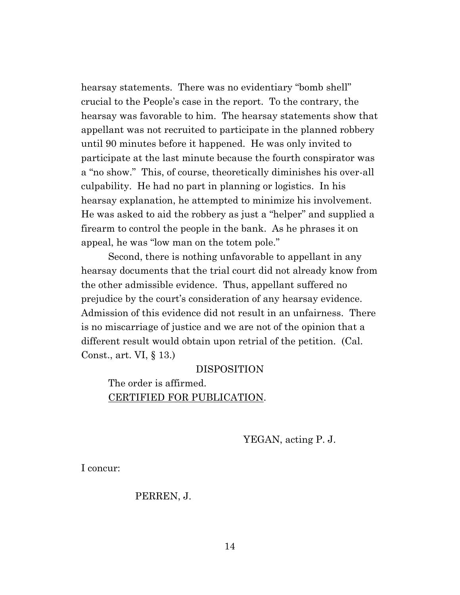hearsay statements. There was no evidentiary "bomb shell" crucial to the People's case in the report. To the contrary, the hearsay was favorable to him. The hearsay statements show that appellant was not recruited to participate in the planned robbery until 90 minutes before it happened. He was only invited to participate at the last minute because the fourth conspirator was a "no show." This, of course, theoretically diminishes his over-all culpability. He had no part in planning or logistics. In his hearsay explanation, he attempted to minimize his involvement. He was asked to aid the robbery as just a "helper" and supplied a firearm to control the people in the bank. As he phrases it on appeal, he was "low man on the totem pole."

Second, there is nothing unfavorable to appellant in any hearsay documents that the trial court did not already know from the other admissible evidence. Thus, appellant suffered no prejudice by the court's consideration of any hearsay evidence. Admission of this evidence did not result in an unfairness. There is no miscarriage of justice and we are not of the opinion that a different result would obtain upon retrial of the petition. (Cal. Const., art. VI, § 13.)

#### DISPOSITION

The order is affirmed. CERTIFIED FOR PUBLICATION.

YEGAN, acting P. J.

I concur:

#### PERREN, J.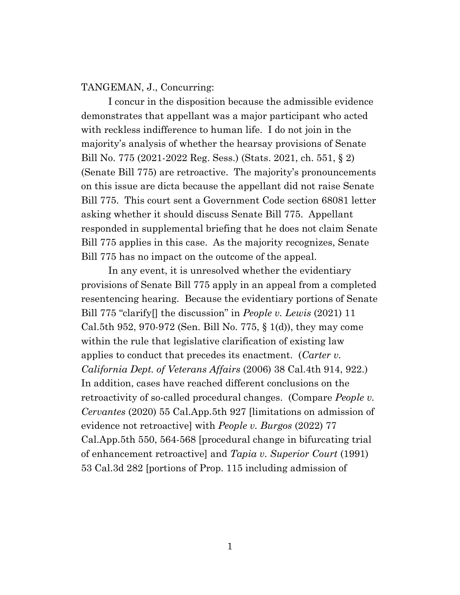#### TANGEMAN, J., Concurring:

I concur in the disposition because the admissible evidence demonstrates that appellant was a major participant who acted with reckless indifference to human life. I do not join in the majority's analysis of whether the hearsay provisions of Senate Bill No. 775 (2021-2022 Reg. Sess.) (Stats. 2021, ch. 551, § 2) (Senate Bill 775) are retroactive. The majority's pronouncements on this issue are dicta because the appellant did not raise Senate Bill 775. This court sent a Government Code section 68081 letter asking whether it should discuss Senate Bill 775. Appellant responded in supplemental briefing that he does not claim Senate Bill 775 applies in this case. As the majority recognizes, Senate Bill 775 has no impact on the outcome of the appeal.

In any event, it is unresolved whether the evidentiary provisions of Senate Bill 775 apply in an appeal from a completed resentencing hearing. Because the evidentiary portions of Senate Bill 775 "clarify[] the discussion" in *People v. Lewis* (2021) 11 Cal.5th 952, 970-972 (Sen. Bill No. 775, § 1(d)), they may come within the rule that legislative clarification of existing law applies to conduct that precedes its enactment. (*Carter v. California Dept. of Veterans Affairs* (2006) 38 Cal.4th 914, 922.) In addition, cases have reached different conclusions on the retroactivity of so-called procedural changes. (Compare *People v. Cervantes* (2020) 55 Cal.App.5th 927 [limitations on admission of evidence not retroactive] with *People v. Burgos* (2022) 77 Cal.App.5th 550, 564-568 [procedural change in bifurcating trial of enhancement retroactive] and *Tapia v. Superior Court* (1991) 53 Cal.3d 282 [portions of Prop. 115 including admission of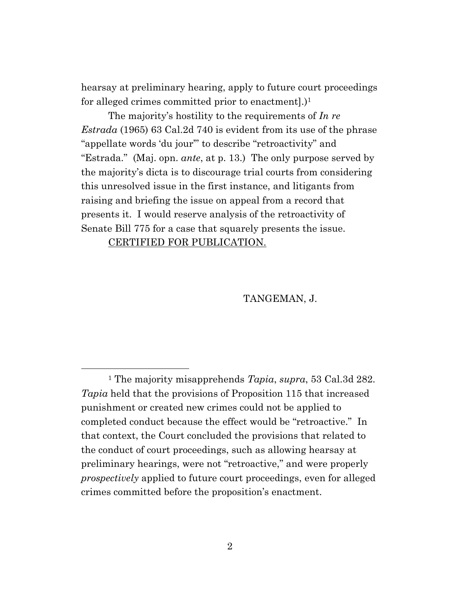hearsay at preliminary hearing, apply to future court proceedings for alleged crimes committed prior to enactment.)<sup>1</sup>

The majority's hostility to the requirements of *In re Estrada* (1965) 63 Cal.2d 740 is evident from its use of the phrase "appellate words 'du jour'" to describe "retroactivity" and "Estrada." (Maj. opn. *ante*, at p. 13.) The only purpose served by the majority's dicta is to discourage trial courts from considering this unresolved issue in the first instance, and litigants from raising and briefing the issue on appeal from a record that presents it. I would reserve analysis of the retroactivity of Senate Bill 775 for a case that squarely presents the issue.

CERTIFIED FOR PUBLICATION.

TANGEMAN, J.

<sup>1</sup> The majority misapprehends *Tapia*, *supra*, 53 Cal.3d 282. *Tapia* held that the provisions of Proposition 115 that increased punishment or created new crimes could not be applied to completed conduct because the effect would be "retroactive." In that context, the Court concluded the provisions that related to the conduct of court proceedings, such as allowing hearsay at preliminary hearings, were not "retroactive," and were properly *prospectively* applied to future court proceedings, even for alleged crimes committed before the proposition's enactment.